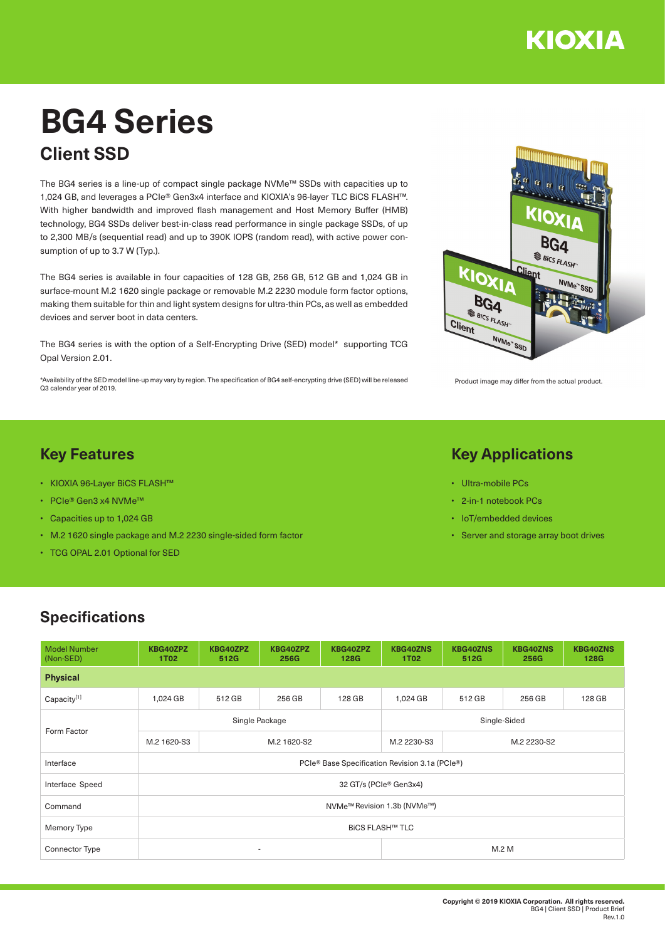

# **BG4 Series Client SSD**

The BG4 series is a line-up of compact single package NVMe™ SSDs with capacities up to 1,024 GB, and leverages a PCIe® Gen3x4 interface and KIOXIA's 96-layer TLC BiCS FLASH™. With higher bandwidth and improved flash management and Host Memory Buffer (HMB) technology, BG4 SSDs deliver best-in-class read performance in single package SSDs, of up to 2,300 MB/s (sequential read) and up to 390K IOPS (random read), with active power consumption of up to 3.7 W (Typ.).

The BG4 series is available in four capacities of 128 GB, 256 GB, 512 GB and 1,024 GB in surface-mount M.2 1620 single package or removable M.2 2230 module form factor options, making them suitable for thin and light system designs for ultra-thin PCs, as well as embedded devices and server boot in data centers.

The BG4 series is with the option of a Self-Encrypting Drive (SED) model\* supporting TCG Opal Version 2.01.

\*Availability of the SED model line-up may vary by region. The specification of BG4 self-encrypting drive (SED) will be released Q3 calendar year of 2019.

# **Key Features**

- KIOXIA 96-Layer BiCS FLASH™
- PCIe® Gen3 x4 NVMe™
- Capacities up to 1,024 GB
- M.2 1620 single package and M.2 2230 single-sided form factor
- TCG OPAL 2.01 Optional for SED



Product image may differ from the actual product.

#### **Key Applications**

- Ultra-mobile PCs
- 2-in-1 notebook PCs
- IoT/embedded devices
- Server and storage array boot drives

### **Specifications**

| <b>Model Number</b><br>(Non-SED) | KBG40ZPZ<br><b>1T02</b>                        | KBG40ZPZ<br>512G | KBG40ZPZ<br>256G         | KBG40ZPZ<br><b>128G</b> | <b>KBG40ZNS</b><br><b>1T02</b> | <b>KBG40ZNS</b><br>512G | <b>KBG40ZNS</b><br>256G | <b>KBG40ZNS</b><br>128G |  |  |  |
|----------------------------------|------------------------------------------------|------------------|--------------------------|-------------------------|--------------------------------|-------------------------|-------------------------|-------------------------|--|--|--|
| <b>Physical</b>                  |                                                |                  |                          |                         |                                |                         |                         |                         |  |  |  |
| Capacity <sup>[1]</sup>          | 1,024 GB                                       | 512 GB           | 256 GB                   | 128 GB                  | 1,024 GB                       | 512 GB                  | 256 GB                  | 128 GB                  |  |  |  |
| Form Factor                      |                                                |                  | Single Package           |                         | Single-Sided                   |                         |                         |                         |  |  |  |
|                                  | M.2 1620-S3                                    | M.2 1620-S2      |                          |                         | M.2 2230-S3                    | M.2 2230-S2             |                         |                         |  |  |  |
| Interface                        | PCIe® Base Specification Revision 3.1a (PCIe®) |                  |                          |                         |                                |                         |                         |                         |  |  |  |
| Interface Speed                  | 32 GT/s (PCIe® Gen3x4)                         |                  |                          |                         |                                |                         |                         |                         |  |  |  |
| Command                          | NVMe <sup>™</sup> Revision 1.3b (NVMe™)        |                  |                          |                         |                                |                         |                         |                         |  |  |  |
| Memory Type                      | <b>BICS FLASH™ TLC</b>                         |                  |                          |                         |                                |                         |                         |                         |  |  |  |
| <b>Connector Type</b>            |                                                |                  | $\overline{\phantom{a}}$ |                         | M.2 M                          |                         |                         |                         |  |  |  |